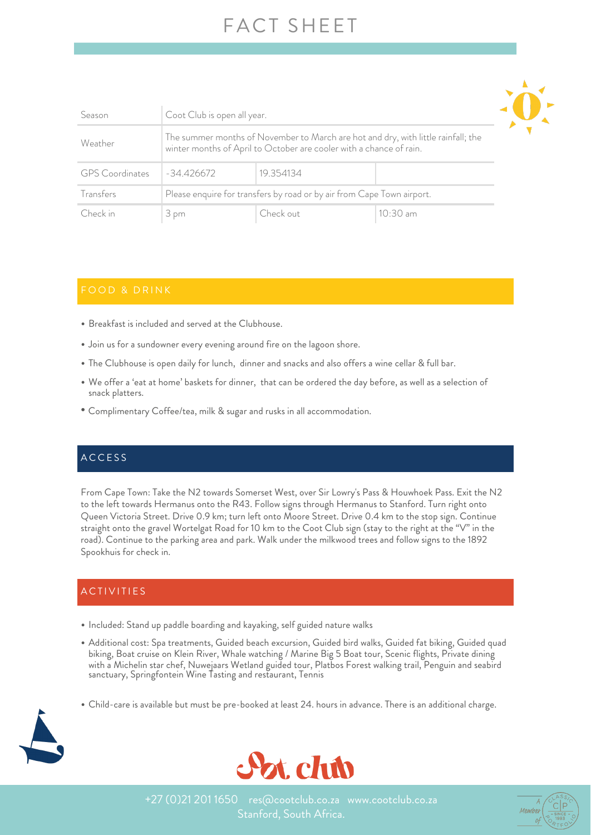## FACT SHEET

| Season                 | Coot Club is open all year.                                                                                                                              |           |            |  |  |  |
|------------------------|----------------------------------------------------------------------------------------------------------------------------------------------------------|-----------|------------|--|--|--|
| Weather                | The summer months of November to March are hot and dry, with little rainfall; the<br>winter months of April to October are cooler with a chance of rain. |           |            |  |  |  |
| <b>GPS</b> Coordinates | $-34.426672$                                                                                                                                             | 19.354134 |            |  |  |  |
| Transfers              | Please enquire for transfers by road or by air from Cape Town airport.                                                                                   |           |            |  |  |  |
| Check in               | 3 pm                                                                                                                                                     | Check out | $10:30$ am |  |  |  |

- Breakfast is included and served at the Clubhouse.
- Join us for a sundowner every evening around fire on the lagoon shore.
- The Clubhouse is open daily for lunch, dinner and snacks and also offers a wine cellar & full bar.
- We offer a 'eat at home' baskets for dinner, that can be ordered the day before, as well as a selection of snack platters.
- Complimentary Coffee/tea, milk & sugar and rusks in all accommodation.

### ACCESS

From Cape Town: Take the N2 towards Somerset West, over Sir Lowry's Pass & Houwhoek Pass. Exit the N2 to the left towards Hermanus onto the R43. Follow signs through Hermanus to Stanford. Turn right onto Queen Victoria Street. Drive 0.9 km; turn left onto Moore Street. Drive 0.4 km to the stop sign. Continue straight onto the gravel Wortelgat Road for 10 km to the Coot Club sign (stay to the right at the "V" in the road). Continue to the parking area and park. Walk under the milkwood trees and follow signs to the 1892 Spookhuis for check in.

### **ACTIVITIES**

- Included: Stand up paddle boarding and kayaking, self guided nature walks
- Additional cost: Spa treatments, Guided beach excursion, Guided bird walks, Guided fat biking, Guided quad biking, Boat cruise on Klein River, Whale watching / Marine Big 5 Boat tour, Scenic flights, Private dining with a Michelin star chef, Nuwejaars Wetland guided tour, Platbos Forest walking trail, Penguin and seabird sanctuary, Springfontein Wine Tasting and restaurant, Tennis
- Child-care is available but must be pre-booked at least 24. hours in advance. There is an additional charge.





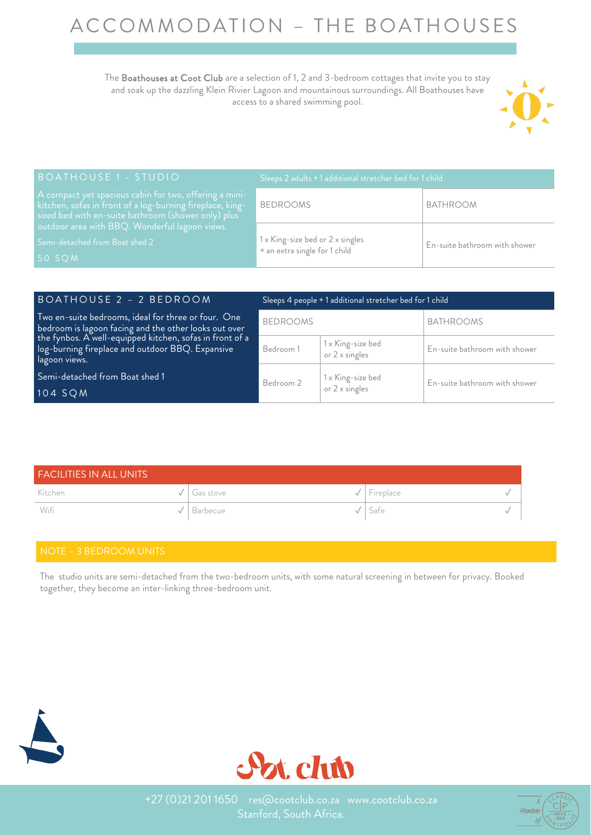# ACCOMMODATION – THE BOATHOUSES

The Boathouses at Coot Club are a selection of 1, 2 and 3-bedroom cottages that invite you to stay and soak up the dazzling Klein Rivier Lagoon and mountainous surroundings. All Boathouses have access to a shared swimming pool.



| BOATHOUSE 1 - STUDIO                                                                                                                                                       | $\frac{1}{2}$ Sleeps 2 adults + 1 additional stretcher bed for 1 child $\frac{1}{2}$ |                               |
|----------------------------------------------------------------------------------------------------------------------------------------------------------------------------|--------------------------------------------------------------------------------------|-------------------------------|
| A compact yet spacious cabin for two, offering a mini-<br>kitchen, sofas in front of a log-burning fireplace, king-<br>sized bed with en-suite bathroom (shower only) plus | <b>BEDROOMS</b>                                                                      | <b>BATHROOM</b>               |
| outdoor area with BBQ. Wonderful lagoon views.<br>Semi-detached from Boat shed 2<br>$50$ SQM                                                                               | 1 x King-size bed or 2 x singles<br>+ an extra single for 1 child                    | En-suite bathroom with shower |

| BOATHOUSE 2 - 2 BEDROOM                                                                                                                                                  | Sleeps 4 people + 1 additional stretcher bed for 1 child |                                            |                               |  |  |
|--------------------------------------------------------------------------------------------------------------------------------------------------------------------------|----------------------------------------------------------|--------------------------------------------|-------------------------------|--|--|
| Two en-suite bedrooms, ideal for three or four. One<br>bedroom is lagoon facing and the other looks out over<br>the fynbos. A well-equipped kitchen, sofas in front of a | <b>BEDROOMS</b>                                          |                                            | <b>BATHROOMS</b>              |  |  |
| log-burning fireplace and outdoor BBQ. Expansive<br>lagoon views.                                                                                                        | Bedroom 1                                                | 1 x King-size bed<br>or 2 x singles        | En-suite bathroom with shower |  |  |
| Semi-detached from Boat shed 1<br>104 SQM                                                                                                                                | Bedroom 2                                                | 1 x King-size bed<br>or $2 \times$ singles | En-suite bathroom with shower |  |  |

| <b>FACILITIES IN ALL UNITS</b> |               |  |                                |  |  |
|--------------------------------|---------------|--|--------------------------------|--|--|
| Kitchen                        | √   Gas stove |  | $\sqrt{\phantom{a}}$ Fireplace |  |  |
| Wifi                           | Barbecue      |  | $^{\prime}$   Safe             |  |  |

The studio units are semi-detached from the two-bedroom units, with some natural screening in between for privacy. Booked together, they become an inter-linking three-bedroom unit.





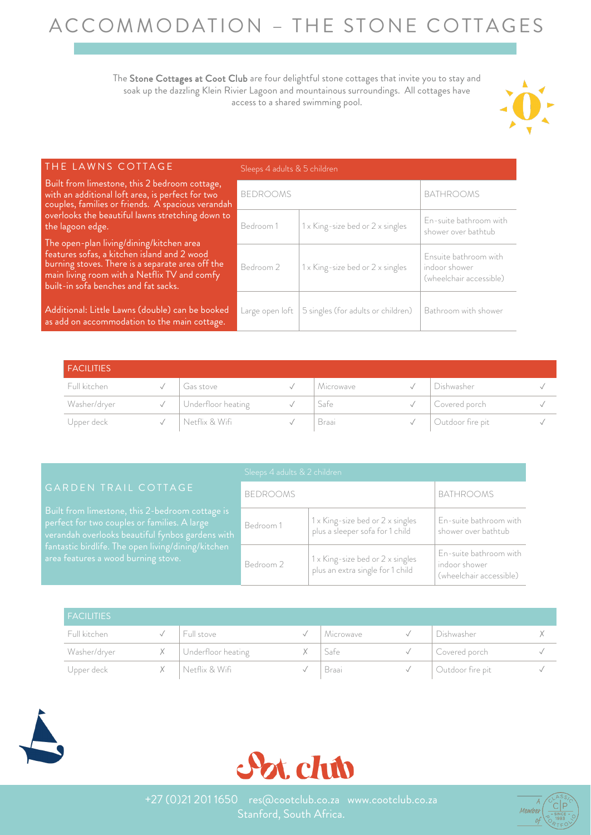# ACCOMMODATION – THE STONE COTTAGES

The Stone Cottages at Coot Club are four delightful stone cottages that invite you to stay and soak up the dazzling Klein Rivier Lagoon and mountainous surroundings. All cottages have access to a shared swimming pool.



| <b>THE LAWNS COTTAGE</b>                                                                                                                                                                                                            | Sleeps 4 adults & 5 children |                                    |                                                                   |  |  |
|-------------------------------------------------------------------------------------------------------------------------------------------------------------------------------------------------------------------------------------|------------------------------|------------------------------------|-------------------------------------------------------------------|--|--|
| Built from limestone, this 2 bedroom cottage,<br>with an additional loft area, is perfect for two<br>couples, families or friends. A spacious verandah                                                                              | <b>BEDROOMS</b>              |                                    | <b>BATHROOMS</b>                                                  |  |  |
| overlooks the beautiful lawns stretching down to<br>the lagoon edge.                                                                                                                                                                | Bedroom 1                    | 1 x King-size bed or 2 x singles   | En-suite bathroom with<br>shower over bathtub                     |  |  |
| The open-plan living/dining/kitchen area<br>features sofas, a kitchen island and 2 wood<br>burning stoves. There is a separate area off the<br>main living room with a Netflix TV and comfy<br>built-in sofa benches and fat sacks. | Bedroom 2                    | 1 x King-size bed or 2 x singles   | Ensuite bathroom with<br>indoor shower<br>(wheelchair accessible) |  |  |
| Additional: Little Lawns (double) can be booked<br>as add on accommodation to the main cottage.                                                                                                                                     | Large open loft              | 5 singles (for adults or children) | Bathroom with shower                                              |  |  |
|                                                                                                                                                                                                                                     |                              |                                    |                                                                   |  |  |

| <b>FACILITIES</b> |                    |           |                  |  |
|-------------------|--------------------|-----------|------------------|--|
| Full kitchen      | Gas stove          | Microwave | Dishwasher       |  |
| Washer/dryer      | Underfloor heating | Safe      | Covered porch    |  |
| Upper deck        | Netflix & Wifi     | Braai     | Outdoor fire pit |  |

|                                                                                                                                                                                                                                                  | Sleeps 4 adults & 2 children |                                                                        |                                                                    |  |  |
|--------------------------------------------------------------------------------------------------------------------------------------------------------------------------------------------------------------------------------------------------|------------------------------|------------------------------------------------------------------------|--------------------------------------------------------------------|--|--|
| GARDEN TRAIL COTTAGE                                                                                                                                                                                                                             | <b>BEDROOMS</b>              |                                                                        | BATHROOMS                                                          |  |  |
| Built from limestone, this 2-bedroom cottage is<br>perfect for two couples or families. A large<br>verandah overlooks beautiful fynbos gardens with<br>fantastic birdlife. The open living/dining/kitchen<br>area features a wood burning stove. | Bedroom 1                    | 1x King-size bed or 2 x singles<br>plus a sleeper sofa for 1 child     | En-suite bathroom with<br>shower over bathtub                      |  |  |
|                                                                                                                                                                                                                                                  | Bedroom 2                    | $1x$ King-size bed or $2x$ singles<br>plus an extra single for 1 child | En-suite bathroom with<br>indoor shower<br>(wheelchair accessible) |  |  |

| <b>FACILITIES</b> |                        |           |                  |  |
|-------------------|------------------------|-----------|------------------|--|
| Full kitchen      | Full stove             | Microwave | Dishwasher       |  |
| Washer/dryer      | X   Underfloor heating | Safe      | Covered porch    |  |
| Upper deck        | Netflix & Wifi         | Braai     | Outdoor fire pit |  |